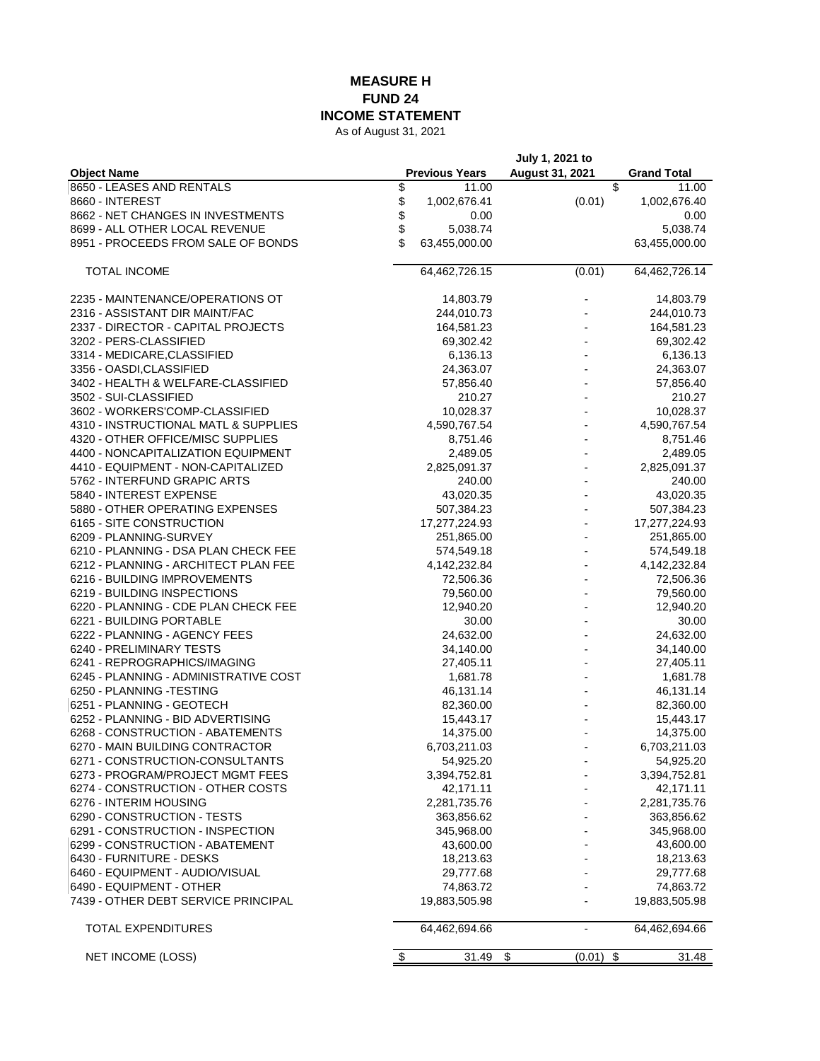## **MEASURE H FUND 24 INCOME STATEMENT**

As of August 31, 2021

|                                       |                       | July 1, 2021 to          |                    |
|---------------------------------------|-----------------------|--------------------------|--------------------|
| <b>Object Name</b>                    | <b>Previous Years</b> | August 31, 2021          | <b>Grand Total</b> |
| 8650 - LEASES AND RENTALS             | \$<br>11.00           | \$                       | 11.00              |
| 8660 - INTEREST                       | \$<br>1,002,676.41    | (0.01)                   | 1,002,676.40       |
| 8662 - NET CHANGES IN INVESTMENTS     | \$<br>0.00            |                          | 0.00               |
| 8699 - ALL OTHER LOCAL REVENUE        | \$<br>5,038.74        |                          | 5,038.74           |
| 8951 - PROCEEDS FROM SALE OF BONDS    | \$<br>63,455,000.00   |                          | 63,455,000.00      |
|                                       |                       |                          |                    |
| <b>TOTAL INCOME</b>                   | 64,462,726.15         | (0.01)                   | 64,462,726.14      |
| 2235 - MAINTENANCE/OPERATIONS OT      | 14,803.79             |                          | 14,803.79          |
| 2316 - ASSISTANT DIR MAINT/FAC        | 244,010.73            |                          | 244,010.73         |
| 2337 - DIRECTOR - CAPITAL PROJECTS    | 164,581.23            |                          | 164,581.23         |
| 3202 - PERS-CLASSIFIED                | 69,302.42             |                          | 69,302.42          |
| 3314 - MEDICARE, CLASSIFIED           | 6,136.13              |                          | 6,136.13           |
| 3356 - OASDI, CLASSIFIED              | 24,363.07             |                          | 24,363.07          |
| 3402 - HEALTH & WELFARE-CLASSIFIED    | 57,856.40             |                          | 57,856.40          |
| 3502 - SUI-CLASSIFIED                 | 210.27                |                          | 210.27             |
| 3602 - WORKERS'COMP-CLASSIFIED        | 10,028.37             |                          | 10,028.37          |
| 4310 - INSTRUCTIONAL MATL & SUPPLIES  | 4,590,767.54          |                          | 4,590,767.54       |
| 4320 - OTHER OFFICE/MISC SUPPLIES     |                       |                          |                    |
|                                       | 8,751.46              |                          | 8,751.46           |
| 4400 - NONCAPITALIZATION EQUIPMENT    | 2,489.05              |                          | 2,489.05           |
| 4410 - EQUIPMENT - NON-CAPITALIZED    | 2,825,091.37          |                          | 2,825,091.37       |
| 5762 - INTERFUND GRAPIC ARTS          | 240.00                |                          | 240.00             |
| 5840 - INTEREST EXPENSE               | 43,020.35             |                          | 43,020.35          |
| 5880 - OTHER OPERATING EXPENSES       | 507,384.23            |                          | 507,384.23         |
| 6165 - SITE CONSTRUCTION              | 17,277,224.93         |                          | 17,277,224.93      |
| 6209 - PLANNING-SURVEY                | 251,865.00            | $\overline{a}$           | 251,865.00         |
| 6210 - PLANNING - DSA PLAN CHECK FEE  | 574,549.18            |                          | 574,549.18         |
| 6212 - PLANNING - ARCHITECT PLAN FEE  | 4,142,232.84          |                          | 4,142,232.84       |
| 6216 - BUILDING IMPROVEMENTS          | 72,506.36             |                          | 72,506.36          |
| 6219 - BUILDING INSPECTIONS           | 79,560.00             |                          | 79,560.00          |
| 6220 - PLANNING - CDE PLAN CHECK FEE  | 12,940.20             |                          | 12,940.20          |
| 6221 - BUILDING PORTABLE              | 30.00                 |                          | 30.00              |
| 6222 - PLANNING - AGENCY FEES         | 24,632.00             |                          | 24,632.00          |
| 6240 - PRELIMINARY TESTS              | 34,140.00             |                          | 34,140.00          |
| 6241 - REPROGRAPHICS/IMAGING          | 27,405.11             |                          | 27,405.11          |
| 6245 - PLANNING - ADMINISTRATIVE COST | 1,681.78              |                          | 1,681.78           |
| 6250 - PLANNING -TESTING              | 46,131.14             |                          | 46,131.14          |
|                                       |                       |                          |                    |
| 6251 - PLANNING - GEOTECH             | 82,360.00             |                          | 82,360.00          |
| 6252 - PLANNING - BID ADVERTISING     | 15,443.17             |                          | 15,443.17          |
| 6268 - CONSTRUCTION - ABATEMENTS      | 14,375.00             |                          | 14,375.00          |
| 6270 - MAIN BUILDING CONTRACTOR       | 6,703,211.03          |                          | 6,703,211.03       |
| 6271 - CONSTRUCTION-CONSULTANTS       | 54,925.20             |                          | 54,925.20          |
| 6273 - PROGRAM/PROJECT MGMT FEES      | 3,394,752.81          |                          | 3,394,752.81       |
| 6274 - CONSTRUCTION - OTHER COSTS     | 42,171.11             |                          | 42,171.11          |
| 6276 - INTERIM HOUSING                | 2,281,735.76          |                          | 2,281,735.76       |
| 6290 - CONSTRUCTION - TESTS           | 363,856.62            |                          | 363,856.62         |
| 6291 - CONSTRUCTION - INSPECTION      | 345,968.00            |                          | 345,968.00         |
| 6299 - CONSTRUCTION - ABATEMENT       | 43,600.00             |                          | 43,600.00          |
| 6430 - FURNITURE - DESKS              | 18,213.63             |                          | 18,213.63          |
| 6460 - EQUIPMENT - AUDIO/VISUAL       | 29,777.68             |                          | 29,777.68          |
| 6490 - EQUIPMENT - OTHER              | 74,863.72             |                          | 74,863.72          |
| 7439 - OTHER DEBT SERVICE PRINCIPAL   |                       |                          |                    |
|                                       | 19,883,505.98         |                          | 19,883,505.98      |
| TOTAL EXPENDITURES                    | 64,462,694.66         | $\overline{\phantom{a}}$ | 64,462,694.66      |
| NET INCOME (LOSS)                     | \$<br>31.49           | \$<br>\$<br>(0.01)       | 31.48              |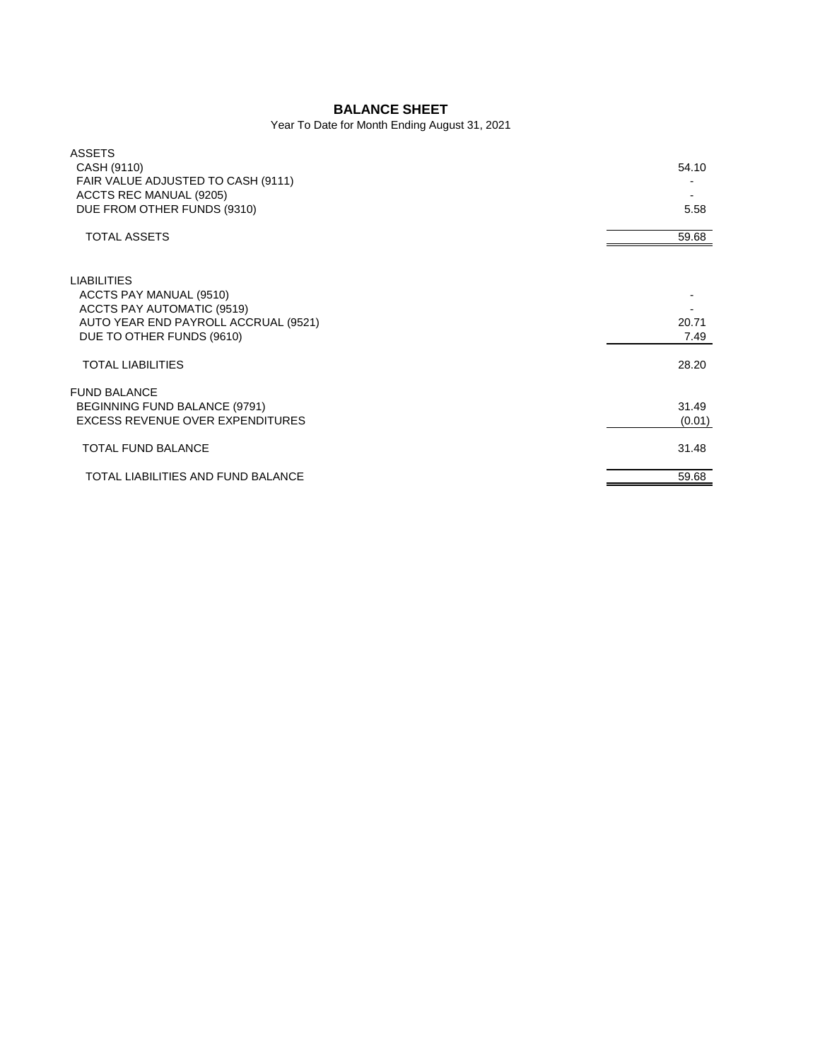## **BALANCE SHEET**

Year To Date for Month Ending August 31, 2021

| <b>ASSETS</b><br>CASH (9110)<br>FAIR VALUE ADJUSTED TO CASH (9111)<br>ACCTS REC MANUAL (9205)                                                           | 54.10           |
|---------------------------------------------------------------------------------------------------------------------------------------------------------|-----------------|
| DUE FROM OTHER FUNDS (9310)                                                                                                                             | 5.58            |
| <b>TOTAL ASSETS</b>                                                                                                                                     | 59.68           |
| <b>LIABILITIES</b><br>ACCTS PAY MANUAL (9510)<br><b>ACCTS PAY AUTOMATIC (9519)</b><br>AUTO YEAR END PAYROLL ACCRUAL (9521)<br>DUE TO OTHER FUNDS (9610) | 20.71<br>7.49   |
| <b>TOTAL LIABILITIES</b>                                                                                                                                | 28.20           |
| <b>FUND BALANCE</b><br>BEGINNING FUND BALANCE (9791)<br><b>EXCESS REVENUE OVER EXPENDITURES</b>                                                         | 31.49<br>(0.01) |
| <b>TOTAL FUND BALANCE</b>                                                                                                                               | 31.48           |
| TOTAL LIABILITIES AND FUND BALANCE                                                                                                                      | 59.68           |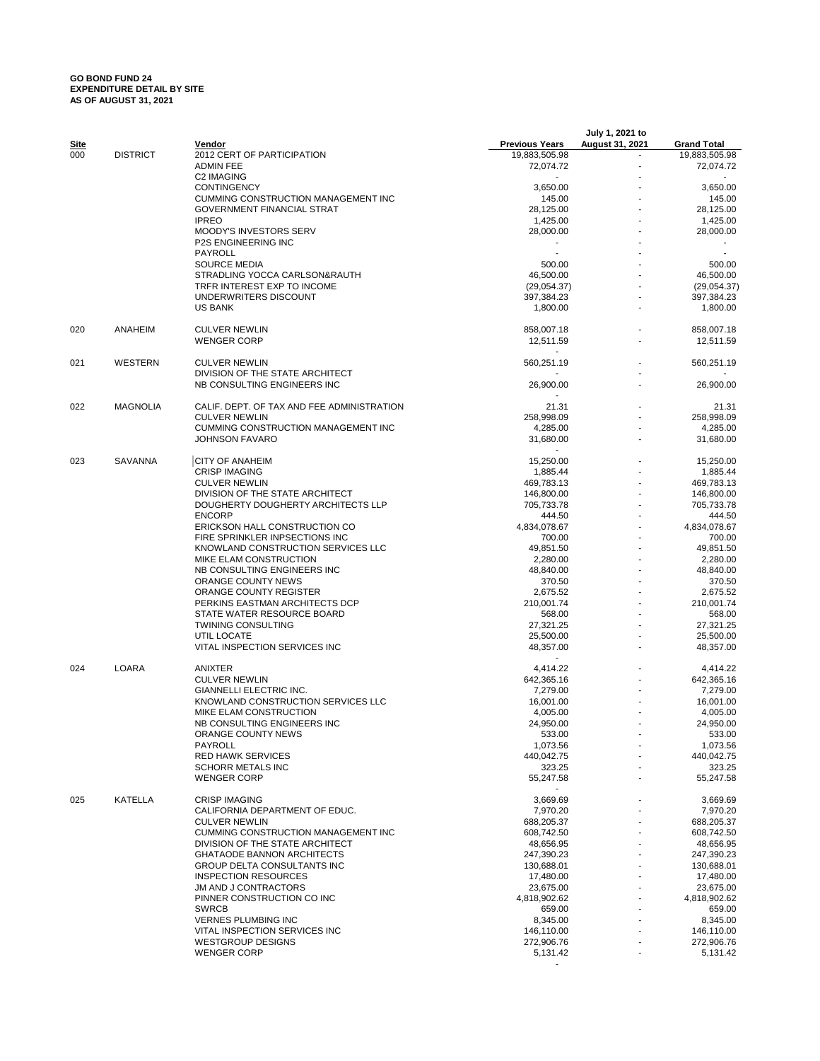## **GO BOND FUND 24 EXPENDITURE DETAIL BY SITE AS OF AUGUST 31, 2021**

|      |                 |                                                                      |                             | July 1, 2021 to |                          |
|------|-----------------|----------------------------------------------------------------------|-----------------------------|-----------------|--------------------------|
| Site |                 | Vendor                                                               | <b>Previous Years</b>       | August 31, 2021 | <b>Grand Total</b>       |
| 000  | <b>DISTRICT</b> | 2012 CERT OF PARTICIPATION                                           | 19,883,505.98               |                 | 19,883,505.98            |
|      |                 | <b>ADMIN FEE</b>                                                     | 72,074.72                   |                 | 72,074.72                |
|      |                 | C2 IMAGING<br><b>CONTINGENCY</b>                                     | 3,650.00                    |                 | 3,650.00                 |
|      |                 | CUMMING CONSTRUCTION MANAGEMENT INC                                  | 145.00                      |                 | 145.00                   |
|      |                 | <b>GOVERNMENT FINANCIAL STRAT</b>                                    | 28,125.00                   |                 | 28,125.00                |
|      |                 | <b>IPREO</b>                                                         | 1,425.00                    |                 | 1,425.00                 |
|      |                 | MOODY'S INVESTORS SERV                                               | 28,000.00                   |                 | 28,000.00                |
|      |                 | <b>P2S ENGINEERING INC</b>                                           |                             |                 |                          |
|      |                 | PAYROLL                                                              |                             |                 |                          |
|      |                 | <b>SOURCE MEDIA</b><br>STRADLING YOCCA CARLSON&RAUTH                 | 500.00                      |                 | 500.00                   |
|      |                 | TRFR INTEREST EXP TO INCOME                                          | 46,500.00<br>(29,054.37)    |                 | 46,500.00<br>(29,054.37) |
|      |                 | UNDERWRITERS DISCOUNT                                                | 397,384.23                  |                 | 397,384.23               |
|      |                 | <b>US BANK</b>                                                       | 1,800.00                    |                 | 1,800.00                 |
|      |                 |                                                                      |                             |                 |                          |
| 020  | ANAHEIM         | <b>CULVER NEWLIN</b>                                                 | 858,007.18                  |                 | 858,007.18               |
|      |                 | <b>WENGER CORP</b>                                                   | 12,511.59<br>$\blacksquare$ |                 | 12,511.59                |
| 021  | WESTERN         | <b>CULVER NEWLIN</b>                                                 | 560,251.19                  |                 | 560,251.19               |
|      |                 | DIVISION OF THE STATE ARCHITECT                                      |                             |                 |                          |
|      |                 | NB CONSULTING ENGINEERS INC                                          | 26,900.00                   |                 | 26,900.00                |
|      |                 |                                                                      |                             |                 |                          |
| 022  | <b>MAGNOLIA</b> | CALIF. DEPT. OF TAX AND FEE ADMINISTRATION                           | 21.31                       |                 | 21.31                    |
|      |                 | <b>CULVER NEWLIN</b>                                                 | 258,998.09                  |                 | 258,998.09               |
|      |                 | <b>CUMMING CONSTRUCTION MANAGEMENT INC</b>                           | 4,285.00                    |                 | 4.285.00                 |
|      |                 | <b>JOHNSON FAVARO</b>                                                | 31,680.00                   |                 | 31,680.00                |
| 023  | <b>SAVANNA</b>  | <b>CITY OF ANAHEIM</b>                                               | 15,250.00                   |                 | 15,250.00                |
|      |                 | <b>CRISP IMAGING</b>                                                 | 1,885.44                    |                 | 1,885.44                 |
|      |                 | <b>CULVER NEWLIN</b>                                                 | 469,783.13                  |                 | 469,783.13               |
|      |                 | DIVISION OF THE STATE ARCHITECT                                      | 146,800.00                  |                 | 146,800.00               |
|      |                 | DOUGHERTY DOUGHERTY ARCHITECTS LLP                                   | 705,733.78                  |                 | 705,733.78               |
|      |                 | <b>ENCORP</b>                                                        | 444.50                      |                 | 444.50                   |
|      |                 | ERICKSON HALL CONSTRUCTION CO                                        | 4,834,078.67                |                 | 4,834,078.67             |
|      |                 | FIRE SPRINKLER INPSECTIONS INC                                       | 700.00                      |                 | 700.00                   |
|      |                 | KNOWLAND CONSTRUCTION SERVICES LLC                                   | 49,851.50                   |                 | 49,851.50                |
|      |                 | MIKE ELAM CONSTRUCTION                                               | 2,280.00                    |                 | 2,280.00                 |
|      |                 | NB CONSULTING ENGINEERS INC                                          | 48,840.00                   |                 | 48,840.00                |
|      |                 | ORANGE COUNTY NEWS                                                   | 370.50                      |                 | 370.50                   |
|      |                 | ORANGE COUNTY REGISTER<br>PERKINS EASTMAN ARCHITECTS DCP             | 2,675.52<br>210,001.74      |                 | 2,675.52<br>210,001.74   |
|      |                 | STATE WATER RESOURCE BOARD                                           | 568.00                      |                 | 568.00                   |
|      |                 | <b>TWINING CONSULTING</b>                                            | 27,321.25                   |                 | 27,321.25                |
|      |                 | UTIL LOCATE                                                          | 25,500.00                   |                 | 25,500.00                |
|      |                 | VITAL INSPECTION SERVICES INC                                        | 48,357.00                   |                 | 48,357.00                |
|      |                 |                                                                      |                             |                 |                          |
| 024  | LOARA           | ANIXTER                                                              | 4,414.22                    |                 | 4,414.22                 |
|      |                 | <b>CULVER NEWLIN</b>                                                 | 642,365.16                  |                 | 642,365.16               |
|      |                 | GIANNELLI ELECTRIC INC.                                              | 7,279.00                    |                 | 7,279.00                 |
|      |                 | KNOWLAND CONSTRUCTION SERVICES LLC                                   | 16,001.00                   |                 | 16,001.00                |
|      |                 | MIKE ELAM CONSTRUCTION<br>NB CONSULTING ENGINEERS INC                | 4,005.00<br>24,950.00       |                 | 4,005.00<br>24,950.00    |
|      |                 | ORANGE COUNTY NEWS                                                   | 533.00                      |                 | 533.00                   |
|      |                 | PAYROLL                                                              | 1,073.56                    |                 | 1,073.56                 |
|      |                 | <b>RED HAWK SERVICES</b>                                             | 440,042.75                  |                 | 440,042.75               |
|      |                 | <b>SCHORR METALS INC</b>                                             | 323.25                      |                 | 323.25                   |
|      |                 | <b>WENGER CORP</b>                                                   | 55,247.58                   |                 | 55,247.58                |
|      |                 |                                                                      |                             |                 |                          |
| 025  | KATELLA         | <b>CRISP IMAGING</b>                                                 | 3,669.69                    |                 | 3,669.69                 |
|      |                 | CALIFORNIA DEPARTMENT OF EDUC.                                       | 7,970.20                    |                 | 7,970.20                 |
|      |                 | <b>CULVER NEWLIN</b>                                                 | 688,205.37                  |                 | 688,205.37               |
|      |                 | CUMMING CONSTRUCTION MANAGEMENT INC                                  | 608,742.50                  |                 | 608,742.50               |
|      |                 | DIVISION OF THE STATE ARCHITECT<br><b>GHATAODE BANNON ARCHITECTS</b> | 48,656.95<br>247.390.23     |                 | 48,656.95<br>247,390.23  |
|      |                 | GROUP DELTA CONSULTANTS INC                                          | 130,688.01                  |                 | 130,688.01               |
|      |                 | <b>INSPECTION RESOURCES</b>                                          | 17,480.00                   |                 | 17,480.00                |
|      |                 | JM AND J CONTRACTORS                                                 | 23,675.00                   |                 | 23,675.00                |
|      |                 | PINNER CONSTRUCTION CO INC                                           | 4,818,902.62                |                 | 4,818,902.62             |
|      |                 | <b>SWRCB</b>                                                         | 659.00                      |                 | 659.00                   |
|      |                 | <b>VERNES PLUMBING INC</b>                                           | 8,345.00                    |                 | 8,345.00                 |
|      |                 | VITAL INSPECTION SERVICES INC                                        | 146,110.00                  |                 | 146,110.00               |
|      |                 | <b>WESTGROUP DESIGNS</b>                                             | 272,906.76                  |                 | 272,906.76               |
|      |                 | <b>WENGER CORP</b>                                                   | 5,131.42                    |                 | 5,131.42                 |
|      |                 |                                                                      |                             |                 |                          |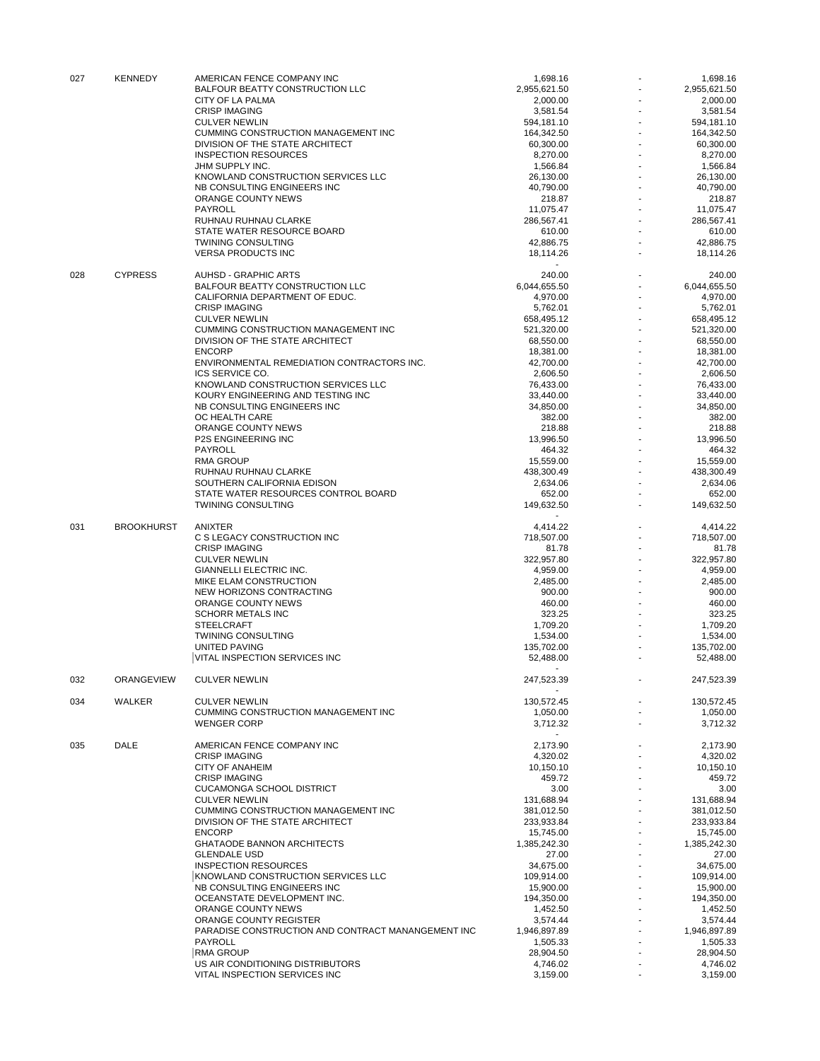| 027 | <b>KENNEDY</b>    | AMERICAN FENCE COMPANY INC                                       | 1,698.16             |    | 1,698.16             |
|-----|-------------------|------------------------------------------------------------------|----------------------|----|----------------------|
|     |                   | BALFOUR BEATTY CONSTRUCTION LLC                                  | 2,955,621.50         |    | 2,955,621.50         |
|     |                   | CITY OF LA PALMA<br><b>CRISP IMAGING</b>                         | 2,000.00<br>3,581.54 |    | 2,000.00<br>3,581.54 |
|     |                   | <b>CULVER NEWLIN</b>                                             | 594,181.10           |    | 594,181.10           |
|     |                   | CUMMING CONSTRUCTION MANAGEMENT INC                              | 164,342.50           |    | 164,342.50           |
|     |                   | DIVISION OF THE STATE ARCHITECT                                  | 60,300.00            |    | 60,300.00            |
|     |                   | <b>INSPECTION RESOURCES</b>                                      | 8,270.00             |    | 8,270.00             |
|     |                   | JHM SUPPLY INC.                                                  | 1,566.84             |    | 1,566.84             |
|     |                   | KNOWLAND CONSTRUCTION SERVICES LLC                               | 26,130.00            |    | 26,130.00            |
|     |                   | NB CONSULTING ENGINEERS INC                                      | 40,790.00            |    | 40,790.00            |
|     |                   | ORANGE COUNTY NEWS                                               | 218.87               |    | 218.87               |
|     |                   | PAYROLL                                                          | 11,075.47            |    | 11.075.47            |
|     |                   | RUHNAU RUHNAU CLARKE                                             | 286,567.41           |    | 286,567.41           |
|     |                   | STATE WATER RESOURCE BOARD                                       | 610.00               |    | 610.00               |
|     |                   | <b>TWINING CONSULTING</b>                                        | 42.886.75            |    | 42,886.75            |
|     |                   | <b>VERSA PRODUCTS INC</b>                                        | 18,114.26            |    | 18,114.26            |
| 028 | <b>CYPRESS</b>    | <b>AUHSD - GRAPHIC ARTS</b>                                      | 240.00               |    | 240.00               |
|     |                   | BALFOUR BEATTY CONSTRUCTION LLC                                  | 6,044,655.50         |    | 6,044,655.50         |
|     |                   | CALIFORNIA DEPARTMENT OF EDUC.                                   | 4,970.00             |    | 4,970.00             |
|     |                   | <b>CRISP IMAGING</b>                                             | 5,762.01             |    | 5,762.01             |
|     |                   | <b>CULVER NEWLIN</b>                                             | 658,495.12           |    | 658,495.12           |
|     |                   | CUMMING CONSTRUCTION MANAGEMENT INC                              | 521,320.00           |    | 521,320.00           |
|     |                   | DIVISION OF THE STATE ARCHITECT                                  | 68,550.00            |    | 68,550.00            |
|     |                   | <b>ENCORP</b>                                                    | 18,381.00            |    | 18,381.00            |
|     |                   | ENVIRONMENTAL REMEDIATION CONTRACTORS INC.                       | 42,700.00            |    | 42,700.00            |
|     |                   | ICS SERVICE CO.                                                  | 2,606.50             |    | 2,606.50             |
|     |                   | KNOWLAND CONSTRUCTION SERVICES LLC                               | 76,433.00            |    | 76,433.00            |
|     |                   | KOURY ENGINEERING AND TESTING INC                                | 33,440.00            |    | 33,440.00            |
|     |                   | NB CONSULTING ENGINEERS INC                                      | 34,850.00            |    | 34,850.00            |
|     |                   | OC HEALTH CARE                                                   | 382.00               |    | 382.00               |
|     |                   | ORANGE COUNTY NEWS                                               | 218.88               |    | 218.88               |
|     |                   | <b>P2S ENGINEERING INC</b>                                       | 13,996.50            |    | 13,996.50            |
|     |                   | PAYROLL                                                          | 464.32               |    | 464.32               |
|     |                   | <b>RMA GROUP</b>                                                 | 15,559.00            |    | 15,559.00            |
|     |                   | RUHNAU RUHNAU CLARKE                                             | 438,300.49           |    | 438,300.49           |
|     |                   | SOUTHERN CALIFORNIA EDISON                                       | 2,634.06             |    | 2,634.06             |
|     |                   | STATE WATER RESOURCES CONTROL BOARD                              | 652.00               |    | 652.00               |
|     |                   | TWINING CONSULTING                                               | 149,632.50           |    | 149,632.50           |
|     |                   |                                                                  |                      |    |                      |
| 031 | <b>BROOKHURST</b> | ANIXTER                                                          | 4,414.22             |    | 4,414.22             |
|     |                   | C S LEGACY CONSTRUCTION INC                                      | 718,507.00           |    | 718,507.00           |
|     |                   | <b>CRISP IMAGING</b>                                             | 81.78                |    | 81.78                |
|     |                   | <b>CULVER NEWLIN</b>                                             | 322,957.80           |    | 322,957.80           |
|     |                   | GIANNELLI ELECTRIC INC.                                          | 4,959.00             |    | 4,959.00             |
|     |                   | MIKE ELAM CONSTRUCTION                                           | 2,485.00             |    | 2,485.00             |
|     |                   | NEW HORIZONS CONTRACTING                                         | 900.00               |    | 900.00               |
|     |                   | ORANGE COUNTY NEWS                                               | 460.00               |    | 460.00               |
|     |                   | <b>SCHORR METALS INC</b>                                         | 323.25               |    | 323.25               |
|     |                   | <b>STEELCRAFT</b>                                                | 1,709.20             |    | 1,709.20             |
|     |                   | <b>TWINING CONSULTING</b>                                        | 1,534.00             |    | 1,534.00             |
|     |                   | UNITED PAVING                                                    | 135,702.00           |    | 135,702.00           |
|     |                   | VITAL INSPECTION SERVICES INC                                    | 52,488.00            |    | 52,488.00            |
| 032 | ORANGEVIEW        | <b>CULVER NEWLIN</b>                                             | 247,523.39           |    | 247,523.39           |
|     | <b>WALKER</b>     |                                                                  |                      |    |                      |
| 034 |                   | <b>CULVER NEWLIN</b>                                             | 130,572.45           |    | 130,572.45           |
|     |                   | <b>CUMMING CONSTRUCTION MANAGEMENT INC</b><br><b>WENGER CORP</b> | 1,050.00<br>3,712.32 |    | 1.050.00<br>3,712.32 |
|     |                   |                                                                  | $\sim$               |    |                      |
| 035 | DALE              | AMERICAN FENCE COMPANY INC                                       | 2,173.90             |    | 2,173.90             |
|     |                   | <b>CRISP IMAGING</b>                                             | 4,320.02             |    | 4,320.02             |
|     |                   | CITY OF ANAHEIM                                                  | 10,150.10            |    | 10,150.10            |
|     |                   | <b>CRISP IMAGING</b>                                             | 459.72               |    | 459.72               |
|     |                   | <b>CUCAMONGA SCHOOL DISTRICT</b>                                 | 3.00                 |    | 3.00                 |
|     |                   | <b>CULVER NEWLIN</b>                                             | 131,688.94           |    | 131,688.94           |
|     |                   | CUMMING CONSTRUCTION MANAGEMENT INC                              | 381,012.50           |    | 381,012.50           |
|     |                   | DIVISION OF THE STATE ARCHITECT                                  | 233,933.84           |    | 233,933.84           |
|     |                   | <b>ENCORP</b>                                                    | 15,745.00            |    | 15,745.00            |
|     |                   | <b>GHATAODE BANNON ARCHITECTS</b>                                | 1,385,242.30         |    | 1,385,242.30         |
|     |                   | <b>GLENDALE USD</b>                                              | 27.00                | ÷. | 27.00                |
|     |                   | <b>INSPECTION RESOURCES</b>                                      | 34,675.00            |    | 34,675.00            |
|     |                   | KNOWLAND CONSTRUCTION SERVICES LLC                               | 109,914.00           |    | 109,914.00           |
|     |                   | NB CONSULTING ENGINEERS INC                                      | 15,900.00            |    | 15,900.00            |
|     |                   | OCEANSTATE DEVELOPMENT INC.                                      | 194,350.00           |    | 194,350.00           |
|     |                   | ORANGE COUNTY NEWS                                               | 1,452.50             |    | 1,452.50             |
|     |                   | ORANGE COUNTY REGISTER                                           | 3,574.44             |    | 3,574.44             |
|     |                   | PARADISE CONSTRUCTION AND CONTRACT MANANGEMENT INC               | 1,946,897.89         |    | 1,946,897.89         |
|     |                   | PAYROLL                                                          | 1,505.33             |    | 1,505.33             |
|     |                   | <b>RMA GROUP</b>                                                 | 28,904.50            |    | 28,904.50            |
|     |                   | US AIR CONDITIONING DISTRIBUTORS                                 | 4,746.02             |    | 4,746.02             |
|     |                   | VITAL INSPECTION SERVICES INC                                    | 3,159.00             |    | 3,159.00             |